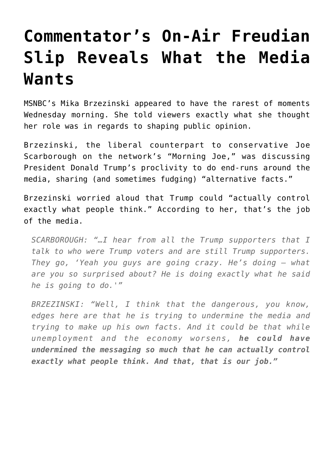## **[Commentator's On-Air Freudian](https://intellectualtakeout.org/2017/02/commentators-on-air-freudian-slip-reveals-what-the-media-wants/) [Slip Reveals What the Media](https://intellectualtakeout.org/2017/02/commentators-on-air-freudian-slip-reveals-what-the-media-wants/) [Wants](https://intellectualtakeout.org/2017/02/commentators-on-air-freudian-slip-reveals-what-the-media-wants/)**

MSNBC's Mika Brzezinski appeared to have the rarest of moments Wednesday morning. She told viewers exactly what she thought her role was in regards to shaping public opinion.

Brzezinski, the liberal counterpart to conservative Joe Scarborough on the network's "Morning Joe," was discussing President Donald Trump's proclivity to do end-runs around the media, sharing (and sometimes fudging) "alternative facts."

Brzezinski worried aloud that Trump could "actually control exactly what people think." According to her, that's the job of the media.

*SCARBOROUGH: "…I hear from all the Trump supporters that I talk to who were Trump voters and are still Trump supporters. They go, 'Yeah you guys are going crazy. He's doing — what are you so surprised about? He is doing exactly what he said he is going to do.'"*

*BRZEZINSKI: "Well, I think that the dangerous, you know, edges here are that he is trying to undermine the media and trying to make up his own facts. And it could be that while unemployment and the economy worsens, he could have undermined the messaging so much that he can actually control exactly what people think. And that, that is our job."*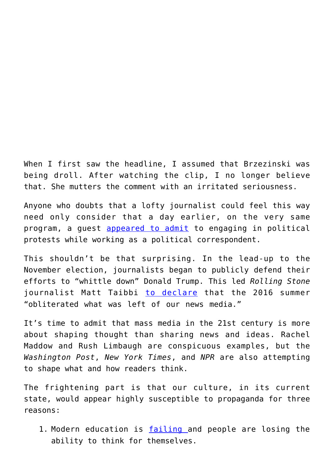When I first saw the headline, I assumed that Brzezinski was being droll. After watching the clip, I no longer believe that. She mutters the comment with an irritated seriousness.

Anyone who doubts that a lofty journalist could feel this way need only consider that a day earlier, on the very same program, a guest [appeared to admit](http://www.theamericanmirror.com/mtv-news-reporter-admits-joining-trump-protests/) to engaging in political protests while working as a political correspondent.

This shouldn't be that surprising. In the lead-up to the November election, journalists began to publicly defend their efforts to "whittle down" Donald Trump. This led *Rolling Stone* journalist Matt Taibbi [to declare](http://www.rollingstone.com/politics/matt-taibbi-on-the-summer-of-the-media-shill-w434484) that the 2016 summer "obliterated what was left of our news media."

It's time to admit that mass media in the 21st century is more about shaping thought than sharing news and ideas. Rachel Maddow and Rush Limbaugh are conspicuous examples, but the *Washington Post*, *New York Times*, and *NPR* are also attempting to shape what and how readers think.

The frightening part is that our culture, in its current state, would appear highly susceptible to propaganda for three reasons:

1. Modern education is **failing** and people are losing the ability to think for themselves.